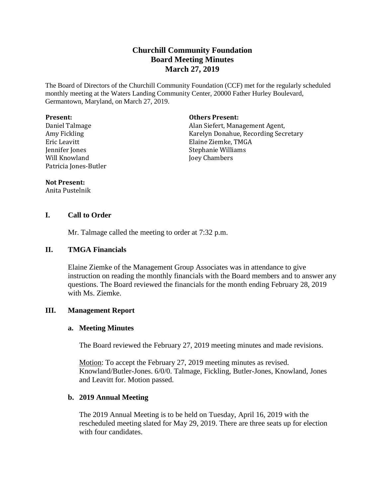# **Churchill Community Foundation Board Meeting Minutes March 27, 2019**

The Board of Directors of the Churchill Community Foundation (CCF) met for the regularly scheduled monthly meeting at the Waters Landing Community Center, 20000 Father Hurley Boulevard, Germantown, Maryland, on March 27, 2019.

#### **Present:**

Daniel Talmage Amy Fickling Eric Leavitt Jennifer Jones Will Knowland Patricia Jones-Butler

#### **Others Present:**

Alan Siefert, Management Agent, Karelyn Donahue, Recording Secretary Elaine Ziemke, TMGA Stephanie Williams Joey Chambers

#### **Not Present:**

Anita Pustelnik

### **I. Call to Order**

Mr. Talmage called the meeting to order at 7:32 p.m.

#### **II. TMGA Financials**

Elaine Ziemke of the Management Group Associates was in attendance to give instruction on reading the monthly financials with the Board members and to answer any questions. The Board reviewed the financials for the month ending February 28, 2019 with Ms. Ziemke.

### **III. Management Report**

#### **a. Meeting Minutes**

The Board reviewed the February 27, 2019 meeting minutes and made revisions.

Motion: To accept the February 27, 2019 meeting minutes as revised. Knowland/Butler-Jones. 6/0/0. Talmage, Fickling, Butler-Jones, Knowland, Jones and Leavitt for. Motion passed.

### **b. 2019 Annual Meeting**

The 2019 Annual Meeting is to be held on Tuesday, April 16, 2019 with the rescheduled meeting slated for May 29, 2019. There are three seats up for election with four candidates.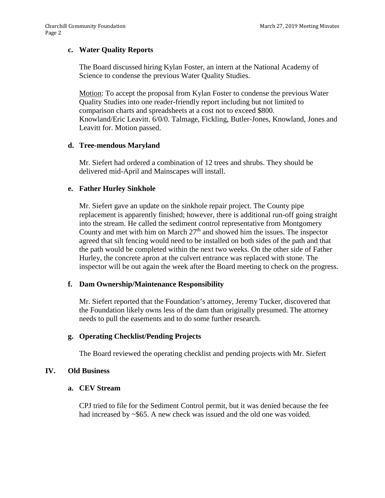# **c. Water Quality Reports**

The Board discussed hiring Kylan Foster, an intern at the National Academy of Science to condense the previous Water Quality Studies.

Motion: To accept the proposal from Kylan Foster to condense the previous Water Quality Studies into one reader-friendly report including but not limited to comparison charts and spreadsheets at a cost not to exceed \$800. Knowland/Eric Leavitt. 6/0/0. Talmage, Fickling, Butler-Jones, Knowland, Jones and Leavitt for. Motion passed.

### **d. Tree-mendous Maryland**

Mr. Siefert had ordered a combination of 12 trees and shrubs. They should be delivered mid-April and Mainscapes will install.

### **e. Father Hurley Sinkhole**

Mr. Siefert gave an update on the sinkhole repair project. The County pipe replacement is apparently finished; however, there is additional run-off going straight into the stream. He called the sediment control representative from Montgomery County and met with him on March  $27<sup>th</sup>$  and showed him the issues. The inspector agreed that silt fencing would need to be installed on both sides of the path and that the path would be completed within the next two weeks. On the other side of Father Hurley, the concrete apron at the culvert entrance was replaced with stone. The inspector will be out again the week after the Board meeting to check on the progress.

### **f. Dam Ownership/Maintenance Responsibility**

Mr. Siefert reported that the Foundation's attorney, Jeremy Tucker, discovered that the Foundation likely owns less of the dam than originally presumed. The attorney needs to pull the easements and to do some further research.

### **g. Operating Checklist/Pending Projects**

The Board reviewed the operating checklist and pending projects with Mr. Siefert

### **IV. Old Business**

## **a. CEV Stream**

CPJ tried to file for the Sediment Control permit, but it was denied because the fee had increased by ~\$65. A new check was issued and the old one was voided.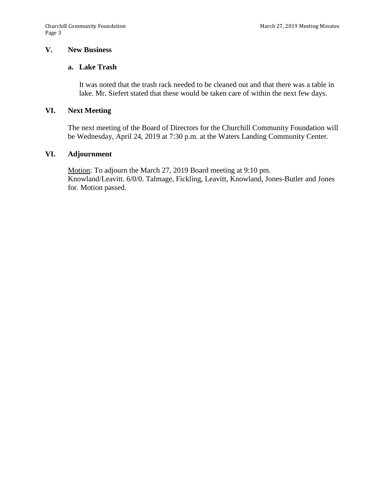# **V. New Business**

## **a. Lake Trash**

It was noted that the trash rack needed to be cleaned out and that there was a table in lake. Mr. Siefert stated that these would be taken care of within the next few days.

#### **VI. Next Meeting**

The next meeting of the Board of Directors for the Churchill Community Foundation will be Wednesday, April 24, 2019 at 7:30 p.m. at the Waters Landing Community Center.

#### **VI. Adjournment**

Motion: To adjourn the March 27, 2019 Board meeting at 9:10 pm. Knowland/Leavitt. 6/0/0. Talmage, Fickling, Leavitt, Knowland, Jones-Butler and Jones for. Motion passed.